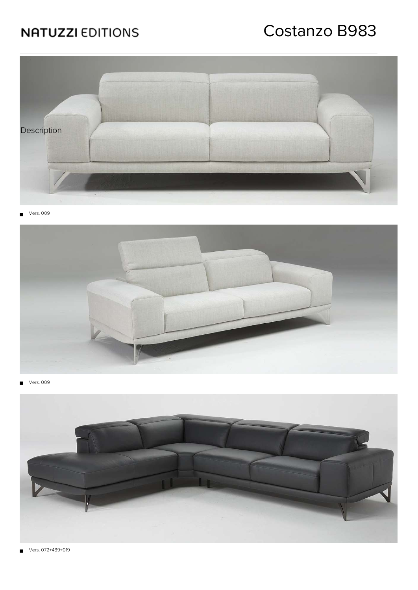# Costanzo B983



Vers. 009  $\blacksquare$ 



Vers. 009  $\blacksquare$ 



Vers. 072+489+019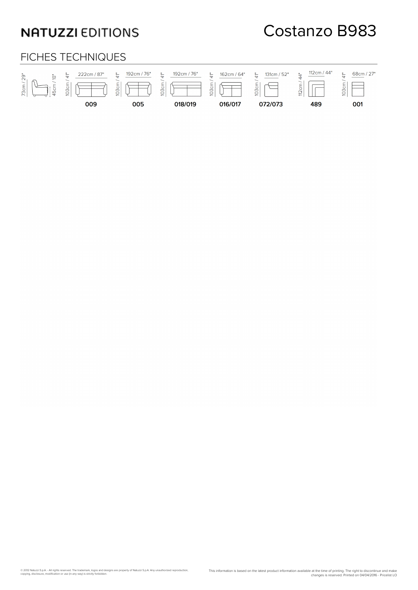## Costanzo B983

#### FICHES TECHNIQUES

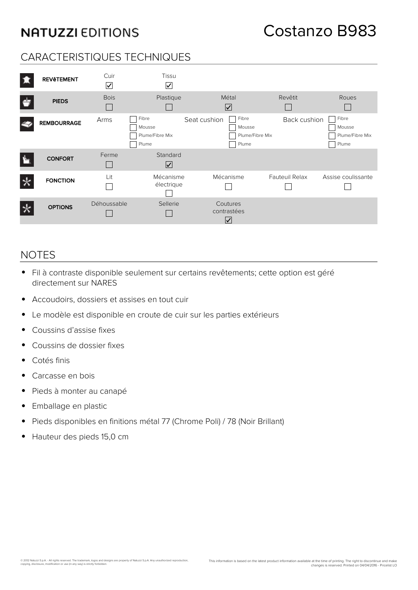### CARACTERISTIQUES TECHNIQUES

| 壤 | <b>REVÊTEMENT</b>  | Cuir<br>$\boxed{\checkmark}$ | Tissu<br>$\triangledown$                    |                                                             |                       |                                             |
|---|--------------------|------------------------------|---------------------------------------------|-------------------------------------------------------------|-----------------------|---------------------------------------------|
|   | <b>PIEDS</b>       | <b>Bois</b>                  | Plastique                                   | Métal<br>$\overline{\mathsf{v}}$                            | Revêtit               | Roues                                       |
|   | <b>REMBOURRAGE</b> | Arms                         | Fibre<br>Mousse<br>Plume/Fibre Mix<br>Plume | Fibre<br>Seat cushion<br>Mousse<br>Plume/Fibre Mix<br>Plume | Back cushion          | Fibre<br>Mousse<br>Plume/Fibre Mix<br>Plume |
|   | <b>CONFORT</b>     | Ferme                        | Standard<br>$\boxed{\checkmark}$            |                                                             |                       |                                             |
|   | <b>FONCTION</b>    | Lit                          | Mécanisme<br>électrique                     | Mécanisme                                                   | <b>Fauteuil Relax</b> | Assise coulissante                          |
|   | <b>OPTIONS</b>     | Déhoussable                  | Sellerie                                    | Coutures<br>contrastées<br>$\overline{\mathsf{v}}$          |                       |                                             |

#### NOTES

- Fil à contraste disponible seulement sur certains revêtements; cette option est géré directement sur NARES
- Accoudoirs, dossiers et assises en tout cuir

© 2012 Natuzzi S.p.A. - All rights reserved. The trademark, logos and designs are property of Natuzzi S.p.A. Any unauthorized reproduction,<br>copying, disclosure, modification or use (in any way) is strictly forbidden.

- Le modèle est disponible en croute de cuir sur les parties extérieurs  $\bullet$
- Coussins d'assise fixes  $\bullet$
- Coussins de dossier fixes  $\bullet$
- Cotés finis  $\bullet$
- $\bullet$ Carcasse en bois
- Pieds à monter au canapé  $\bullet$
- Emballage en plastic  $\bullet$
- Pieds disponibles en finitions métal 77 (Chrome Poli) / 78 (Noir Brillant)  $\bullet$
- Hauteur des pieds 15,0 cm